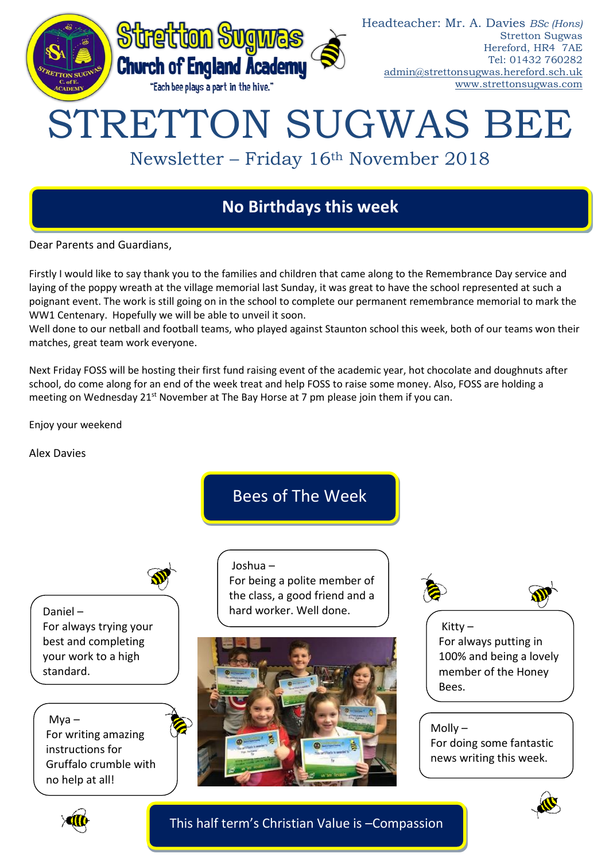

# STRETTON SUGWAS BEE

# Newsletter – Friday 16th November 2018

## **No Birthdays this week**

Dear Parents and Guardians,

Firstly I would like to say thank you to the families and children that came along to the Remembrance Day service and laying of the poppy wreath at the village memorial last Sunday, it was great to have the school represented at such a poignant event. The work is still going on in the school to complete our permanent remembrance memorial to mark the WW1 Centenary. Hopefully we will be able to unveil it soon.

Well done to our netball and football teams, who played against Staunton school this week, both of our teams won their matches, great team work everyone.

Next Friday FOSS will be hosting their first fund raising event of the academic year, hot chocolate and doughnuts after school, do come along for an end of the week treat and help FOSS to raise some money. Also, FOSS are holding a meeting on Wednesday 21<sup>st</sup> November at The Bay Horse at 7 pm please join them if you can.

Enjoy your weekend

Alex Davies

Bees of The Week

Daniel – For always trying your best and completing your work to a high standard.

 $Mva -$ For writing amazing instructions for Gruffalo crumble with no help at all!

Joshua – For being a polite member of the class, a good friend and a hard worker. Well done.





Kitty – For always putting in 100% and being a lovely member of the Honey Bees.

Molly – For doing some fantastic news writing this week.





This half term's Christian Value is –Compassion